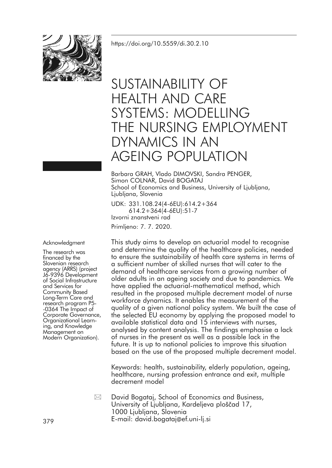

# SUSTAINABILITY OF HEALTH AND CARE SYSTEMS: MODELLING THE NURSING EMPLOYMENT DYNAMICS IN AN AGEING POPULATION

Barbara GRAH, Vlado DIMOVSKI, Sandra PENGER, Simon COLNAR, David BOGATAJ School of Economics and Business, University of Ljubljana, Ljubljana, Slovenia

UDK: 331.108.24(4-6EU):614.2+364 614.2+364(4-6EU):51-7 Izvorni znanstveni rad

Primljeno: 7. 7. 2020.

Acknowledgment

The research was<br>financed by the<br>Slovenian research<br>agency (ARRS) (project J6-9396 Development<br>of Social Infrastructure<br>and Services for<br>Community Based Long-Term Care and research program P5- -0364 The Impact of Organizational Learn-<br>ing, and Knowledge<br>Management on<br>Modern Organization).

This study aims to develop an actuarial model to recognise and determine the quality of the healthcare policies, needed to ensure the sustainability of health care systems in terms of a sufficient number of skilled nurses that will cater to the demand of healthcare services from a growing number of older adults in an ageing society and due to pandemics. We have applied the actuarial-mathematical method, which resulted in the proposed multiple decrement model of nurse workforce dynamics. It enables the measurement of the quality of a given national policy system. We built the case of the selected EU economy by applying the proposed model to available statistical data and 15 interviews with nurses, analysed by content analysis. The findings emphasise a lack of nurses in the present as well as a possible lack in the future. It is up to national policies to improve this situation based on the use of the proposed multiple decrement model.

Keywords: health, sustainability, elderly population, ageing, healthcare, nursing profession entrance and exit, multiple decrement model

David Bogataj, School of Economics and Business, University of Ljubljana, Kardeljeva ploščad 17, 1000 Ljubljana, Slovenia E-mail: david.bogataj@ef.uni-lj.si <sup>379</sup>  $\boxtimes$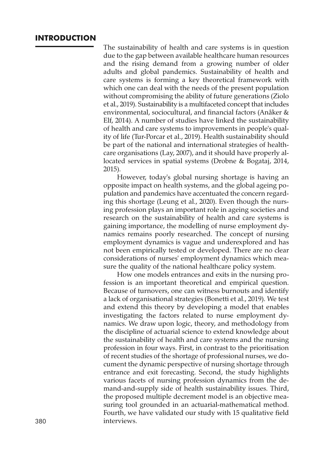# **INTRODUCTION**

The sustainability of health and care systems is in question due to the gap between available healthcare human resources and the rising demand from a growing number of older adults and global pandemics. Sustainability of health and care systems is forming a key theoretical framework with which one can deal with the needs of the present population without compromising the ability of future generations (Ziolo et al., 2019). Sustainability is a multifaceted concept that includes environmental, sociocultural, and financial factors (Anåker & Elf, 2014). A number of studies have linked the sustainability of health and care systems to improvements in people's quality of life (Tur-Porcar et al., 2019). Health sustainability should be part of the national and international strategies of healthcare organisations (Lay, 2007), and it should have properly allocated services in spatial systems (Drobne & Bogataj, 2014, 2015).

However, today's global nursing shortage is having an opposite impact on health systems, and the global ageing population and pandemics have accentuated the concern regarding this shortage (Leung et al., 2020). Even though the nursing profession plays an important role in ageing societies and research on the sustainability of health and care systems is gaining importance, the modelling of nurse employment dynamics remains poorly researched. The concept of nursing employment dynamics is vague and underexplored and has not been empirically tested or developed. There are no clear considerations of nurses' employment dynamics which measure the quality of the national healthcare policy system.

How one models entrances and exits in the nursing profession is an important theoretical and empirical question. Because of turnovers, one can witness burnouts and identify a lack of organisational strategies (Bonetti et al., 2019). We test and extend this theory by developing a model that enables investigating the factors related to nurse employment dynamics. We draw upon logic, theory, and methodology from the discipline of actuarial science to extend knowledge about the sustainability of health and care systems and the nursing profession in four ways. First, in contrast to the prioritisation of recent studies of the shortage of professional nurses, we document the dynamic perspective of nursing shortage through entrance and exit forecasting. Second, the study highlights various facets of nursing profession dynamics from the demand-and-supply side of health sustainability issues. Third, the proposed multiple decrement model is an objective measuring tool grounded in an actuarial-mathematical method. Fourth, we have validated our study with 15 qualitative field 380 interviews.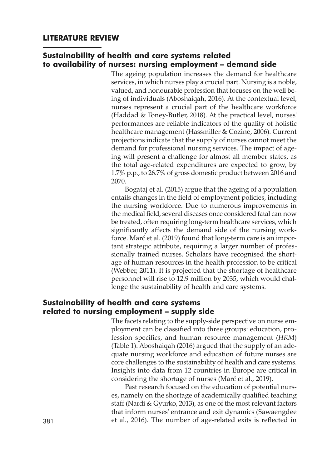# **Sustainability of health and care systems related to availability of nurses: nursing employment – demand side**

The ageing population increases the demand for healthcare services, in which nurses play a crucial part. Nursing is a noble, valued, and honourable profession that focuses on the well being of individuals (Aboshaiqah, 2016). At the contextual level, nurses represent a crucial part of the healthcare workforce (Haddad & Toney-Butler, 2018). At the practical level, nurses' performances are reliable indicators of the quality of holistic healthcare management (Hassmiller & Cozine, 2006). Current projections indicate that the supply of nurses cannot meet the demand for professional nursing services. The impact of ageing will present a challenge for almost all member states, as the total age-related expenditures are expected to grow, by 1.7% p.p., to 26.7% of gross domestic product between 2016 and 2070.

Bogataj et al. (2015) argue that the ageing of a population entails changes in the field of employment policies, including the nursing workforce. Due to numerous improvements in the medical field, several diseases once considered fatal can now be treated, often requiring long-term healthcare services, which significantly affects the demand side of the nursing workforce. Marć et al. (2019) found that long-term care is an important strategic attribute, requiring a larger number of professionally trained nurses. Scholars have recognised the shortage of human resources in the health profession to be critical (Webber, 2011). It is projected that the shortage of healthcare personnel will rise to 12.9 million by 2035, which would challenge the sustainability of health and care systems.

# **Sustainability of health and care systems related to nursing employment – supply side**

The facets relating to the supply-side perspective on nurse employment can be classified into three groups: education, profession specifics, and human resource management (*HRM*) (Table 1). Aboshaiqah (2016) argued that the supply of an adequate nursing workforce and education of future nurses are core challenges to the sustainability of health and care systems. Insights into data from 12 countries in Europe are critical in considering the shortage of nurses (Marć et al., 2019).

Past research focused on the education of potential nurses, namely on the shortage of academically qualified teaching staff (Nardi & Gyurko, 2013), as one of the most relevant factors that inform nurses' entrance and exit dynamics (Sawaengdee 381 et al., 2016). The number of age-related exits is reflected in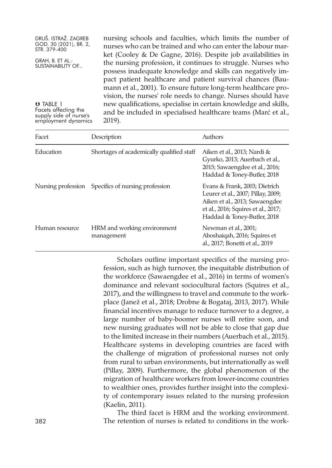| DRUŠ. ISTRAŽ. ZAGREB<br>GOD. 30 (2021), BR. 2,<br>STR. 379-400        | nursing schools and faculties, which limits the number of<br>nurses who can be trained and who can enter the labour mar-                                                                                                                                 |
|-----------------------------------------------------------------------|----------------------------------------------------------------------------------------------------------------------------------------------------------------------------------------------------------------------------------------------------------|
| GRAH, B. ET AL.:<br><b>SUSTAINABILITY OF</b>                          | ket (Cooley & De Gagne, 2016). Despite job availabilities in<br>the nursing profession, it continues to struggle. Nurses who<br>possess inadequate knowledge and skills can negatively im-<br>pact patient healthcare and patient survival chances (Bau- |
| O TABLE 1                                                             | mann et al., 2001). To ensure future long-term healthcare pro-<br>vision, the nurses' role needs to change. Nurses should have                                                                                                                           |
| Facets affecting the<br>supply side of nurse's<br>employment dynamics | new qualifications, specialise in certain knowledge and skills,<br>and be included in specialised healthcare teams (Marć et al.,<br>2019).                                                                                                               |

| Facet              | Description                               | Authors                                                                                                                                                                     |
|--------------------|-------------------------------------------|-----------------------------------------------------------------------------------------------------------------------------------------------------------------------------|
| Education          | Shortages of academically qualified staff | Aiken et al., 2013; Nardi &<br>Gyurko, 2013; Auerbach et al.,<br>2015; Sawaengdee et al., 2016;<br>Haddad & Toney-Butler, 2018                                              |
| Nursing profession | Specifics of nursing profession           | Evans & Frank, 2003; Dietrich<br>Leurer et al., 2007; Pillay, 2009;<br>Aiken et al., 2013; Sawaengdee<br>et al., 2016; Squires et al., 2017;<br>Haddad & Toney-Butler, 2018 |
| Human resource     | HRM and working environment<br>management | Newman et al., 2001;<br>Aboshaiqah, 2016; Squires et<br>al., 2017; Bonetti et al., 2019                                                                                     |

Scholars outline important specifics of the nursing profession, such as high turnover, the inequitable distribution of the workforce (Sawaengdee et al., 2016) in terms of women's dominance and relevant sociocultural factors (Squires et al., 2017), and the willingness to travel and commute to the workplace (Janež et al., 2018; Drobne & Bogataj, 2013, 2017). While financial incentives manage to reduce turnover to a degree, a large number of baby-boomer nurses will retire soon, and new nursing graduates will not be able to close that gap due to the limited increase in their numbers (Auerbach et al., 2015). Healthcare systems in developing countries are faced with the challenge of migration of professional nurses not only from rural to urban environments, but internationally as well (Pillay, 2009). Furthermore, the global phenomenon of the migration of healthcare workers from lower-income countries to wealthier ones, provides further insight into the complexity of contemporary issues related to the nursing profession (Kaelin, 2011).

The third facet is HRM and the working environment. 382 The retention of nurses is related to conditions in the work-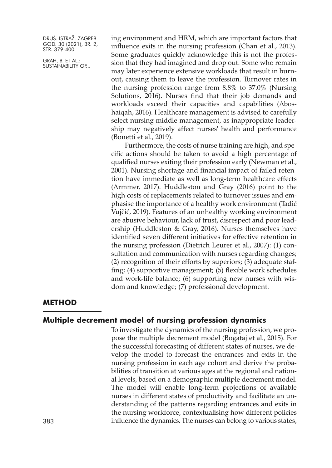GRAH, B. ET AL.: SUSTAINABILITY OF... ing environment and HRM, which are important factors that influence exits in the nursing profession (Chan et al., 2013). Some graduates quickly acknowledge this is not the profession that they had imagined and drop out. Some who remain may later experience extensive workloads that result in burnout, causing them to leave the profession. Turnover rates in the nursing profession range from 8.8% to 37.0% (Nursing Solutions, 2016). Nurses find that their job demands and workloads exceed their capacities and capabilities (Aboshaiqah, 2016). Healthcare management is advised to carefully select nursing middle management, as inappropriate leadership may negatively affect nurses' health and performance (Bonetti et al., 2019).

Furthermore, the costs of nurse training are high, and specific actions should be taken to avoid a high percentage of qualified nurses exiting their profession early (Newman et al., 2001). Nursing shortage and financial impact of failed retention have immediate as well as long-term healthcare effects (Armmer, 2017). Huddleston and Gray (2016) point to the high costs of replacements related to turnover issues and emphasise the importance of a healthy work environment (Tadić Vujčić, 2019). Features of an unhealthy working environment are abusive behaviour, lack of trust, disrespect and poor leadership (Huddleston & Gray, 2016). Nurses themselves have identified seven different initiatives for effective retention in the nursing profession (Dietrich Leurer et al., 2007): (1) consultation and communication with nurses regarding changes; (2) recognition of their efforts by superiors; (3) adequate staffing; (4) supportive management; (5) flexible work schedules and work-life balance; (6) supporting new nurses with wisdom and knowledge; (7) professional development.

#### **METHOD**

# **Multiple decrement model of nursing profession dynamics**

To investigate the dynamics of the nursing profession, we propose the multiple decrement model (Bogataj et al., 2015). For the successful forecasting of different states of nurses, we develop the model to forecast the entrances and exits in the nursing profession in each age cohort and derive the probabilities of transition at various ages at the regional and national levels, based on a demographic multiple decrement model. The model will enable long-term projections of available nurses in different states of productivity and facilitate an understanding of the patterns regarding entrances and exits in the nursing workforce, contextualising how different policies influence the dynamics. The nurses can belong to various states,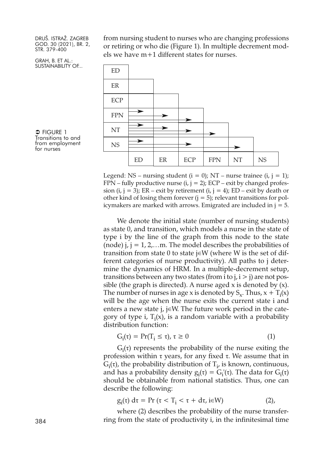GRAH, B. ET AL.: SUSTAINABILITY OF... from nursing student to nurses who are changing professions or retiring or who die (Figure 1). In multiple decrement models we have m+1 different states for nurses.



 $\Rightarrow$  Figure 1 Transitions to and from employment for nurses

> Legend: NS – nursing student ( $i = 0$ ); NT – nurse trainee ( $i$ ,  $j = 1$ ); FPN – fully productive nurse  $(i, j = 2)$ ; ECP – exit by changed profession (i,  $j = 3$ ); ER – exit by retirement (i,  $j = 4$ ); ED – exit by death or other kind of losing them forever  $(i = 5)$ ; relevant transitions for policymakers are marked with arrows. Emigrated are included in  $j = 5$ .

> We denote the initial state (number of nursing students) as state 0, and transition, which models a nurse in the state of type i by the line of the graph from this node to the state (node)  $i, j = 1, 2, \ldots$  The model describes the probabilities of transition from state 0 to state j∈W (where W is the set of different categories of nurse productivity). All paths to j determine the dynamics of HRM. In a multiple-decrement setup, transitions between any two states (from  $i$  to  $j$ ,  $i > j$ ) are not possible (the graph is directed). A nurse aged  $x$  is denoted by  $(x)$ . The number of nurses in age x is denoted by  $S_x$ . Thus,  $x + T_i(x)$ will be the age when the nurse exits the current state i and enters a new state j, j∈W. The future work period in the category of type i,  $T_i(x)$ , is a random variable with a probability distribution function:

$$
G_i(\tau) = \Pr(T_i \le \tau), \tau \ge 0 \tag{1}
$$

 $G_i(\tau)$  represents the probability of the nurse exiting the profession within τ years, for any fixed τ. We assume that in  $G_i(\tau)$ , the probability distribution of  $T_i$ , is known, continuous, and has a probability density  $g_i(\tau) = G_i'(\tau)$ . The data for  $G_i(\tau)$ should be obtainable from national statistics. Thus, one can describe the following:

$$
g_i(\tau) d\tau = \Pr(\tau < T_i < \tau + d\tau, i \in W) \tag{2}
$$

where (2) describes the probability of the nurse transfer-384 ring from the state of productivity i, in the infinitesimal time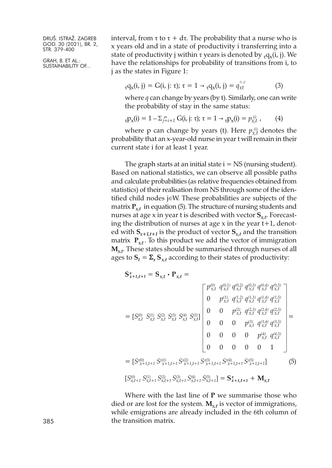GRAH, B. ET AL.: SUSTAINABILITY OF... interval, from τ to τ + dτ. The probability that a nurse who is x years old and in a state of productivity i transferring into a state of productivity j within  $\tau$  years is denoted by  $_{\tau}q_{\nu}(i, j)$ . We have the relationships for probability of transitions from i, to j as the states in Figure 1:

$$
_{\tau}q_{x}(i, j) = G(i, j; \tau); \tau = 1 \rightarrow_{\tau}q_{x}(i, j) = q_{xt}^{(i, j)}
$$
 (3)

where *q* can change by years (by t). Similarly, one can write the probability of stay in the same status:

$$
_{\tau}P_X(i) = 1 - \sum_{j=i+1}^m G(i, j; \tau); \tau = 1 \rightarrow_{\tau}P_X(i) = p_{X,t}^{(i)},
$$
 (4)

where p can change by years (t). Here  $p_{x,t}^{(i)}$  denotes the probability that an x-year-old nurse in year t will remain in their current state i for at least 1 year.

The graph starts at an initial state  $i = NS$  (nursing student). Based on national statistics, we can observe all possible paths and calculate probabilities (as relative frequencies obtained from statistics) of their realisation from NS through some of the identified child nodes j∈W. These probabilities are subjects of the matrix  $P_{xt}$  in equation (5). The structure of nursing students and nurses at age x in year t is described with vector **S***x,t*. Forecasting the distribution of nurses at age x in the year t+1, denoted with  $S_{x+1,t+1}$  is the product of vector  $S_{x,t}$  and the transition matrix  $P_{xt}$ . To this product we add the vector of immigration **M***x,t*. These states should be summarised through nurses of all ages to  $S_t = \sum_x S_{x,t}$  according to their states of productivity:

$$
\mathbf{S}_{x+1,t+1}^{z} = \mathbf{S}_{x,t} \cdot \mathbf{P}_{x,t} = \begin{bmatrix} p_{x,t}^{(0)} & q_{x,t}^{(0,1)} & q_{x,t}^{(0,2)} & q_{x,t}^{(0,3)} & q_{x,t}^{(0,4)} & q_{x,t}^{(0,5)} \\ 0 & p_{x,t}^{(1)} & q_{x,t}^{(1,2)} & q_{x,t}^{(1,3)} & q_{x,t}^{(1,4)} & q_{x,t}^{(1,5)} \\ 0 & p_{x,t}^{(2)} & q_{x,t}^{(2,3)} & q_{x,t}^{(2,4)} & q_{x,t}^{(2,5)} \\ 0 & 0 & p_{x,t}^{(2)} & q_{x,t}^{(2,3)} & q_{x,t}^{(2,4)} & q_{x,t}^{(2,5)} \\ 0 & 0 & 0 & p_{x,t}^{(4)} & q_{x,t}^{(4,5)} & q_{x,t}^{(5)} \\ 0 & 0 & 0 & 0 & p_{x,t}^{(4)} & q_{x,t}^{(4,5)} \\ 0 & 0 & 0 & 0 & 1 \end{bmatrix} = \begin{bmatrix} S_{x}^{(0)} & S_{x+1,t+1}^{(0)} & S_{x+1,t+1}^{(0)} & S_{x+1,t+1}^{(0)} & S_{x+1,t+1}^{(0)} \\ S_{x,t+1}^{(0)} & S_{x,t+1}^{(0)} & S_{x+1,t+1}^{(0)} & S_{x+1,t+1}^{(0)} & S_{x+1,t+1}^{(0)} \\ 0 & 0 & 0 & 0 & 1 \end{bmatrix}
$$
\n
$$
= \begin{bmatrix} S_{x+1,t+1}^{(0)} & S_{x+1,t+1}^{(0)} & S_{x+1,t+1}^{(0)} & S_{x+1,t+1}^{(0)} & S_{x+1,t+1}^{(0)} \\ 0 & 0 & 0 & 0 & 1 \end{bmatrix}
$$
\n
$$
= \begin{bmatrix} S_{x+1,t+1}^{(0)} & S_{x+1,t+1}^{(0)} & S_{x+1,t+1}^{(0)} & S_{x+1,t+1}^{(0)} & S_{x+1,t+1}^{(0)} \\ 0 & 0 & 0 & 0 & 1 \end{bmatrix}
$$
\n
$$
= \begin{bmatrix} S_{x
$$

Where with the last line of **P** we summarise those who died or are lost for the system. **M***x,t* is vector of immigrations, while emigrations are already included in the 6th column of the transition matrix.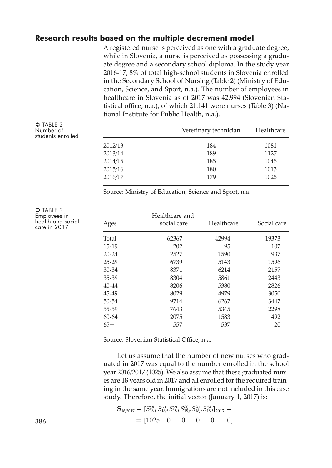# **Research results based on the multiple decrement model**

A registered nurse is perceived as one with a graduate degree, while in Slovenia, a nurse is perceived as possessing a graduate degree and a secondary school diploma. In the study year 2016-17, 8% of total high-school students in Slovenia enrolled in the Secondary School of Nursing (Table 2) (Ministry of Education, Science, and Sport, n.a.). The number of employees in healthcare in Slovenia as of 2017 was 42.994 (Slovenian Statistical office, n.a.), of which 21.141 were nurses (Table 3) (National Institute for Public Health, n.a.).

|         | Veterinary technician | Healthcare |
|---------|-----------------------|------------|
| 2012/13 | 184                   | 1081       |
| 2013/14 | 189                   | 1127       |
| 2014/15 | 185                   | 1045       |
| 2015/16 | 180                   | 1013       |
| 2016/17 | 179                   | 1025       |

Source: Ministry of Education, Science and Sport, n.a.

| Ages      | Healthcare and<br>social care | Healthcare | Social care |
|-----------|-------------------------------|------------|-------------|
| Total     | 62367                         | 42994      | 19373       |
| 15-19     | 202                           | 95         | 107         |
| $20 - 24$ | 2527                          | 1590       | 937         |
| $25 - 29$ | 6739                          | 5143       | 1596        |
| $30 - 34$ | 8371                          | 6214       | 2157        |
| 35-39     | 8304                          | 5861       | 2443        |
| $40 - 44$ | 8206                          | 5380       | 2826        |
| 45-49     | 8029                          | 4979       | 3050        |
| $50 - 54$ | 9714                          | 6267       | 3447        |
| 55-59     | 7643                          | 5345       | 2298        |
| $60 - 64$ | 2075                          | 1583       | 492         |
| $65+$     | 557                           | 537        | 20          |

Source: Slovenian Statistical Office, n.a.

Let us assume that the number of new nurses who graduated in 2017 was equal to the number enrolled in the school year 2016/2017 (1025). We also assume that these graduated nurses are 18 years old in 2017 and all enrolled for the required training in the same year. Immigrations are not included in this case study. Therefore, the initial vector (January 1, 2017) is:

$$
\mathbf{S}_{18,2017} = [S_{18,t}^{(0)} S_{18,t}^{(1)} S_{18,t}^{(2)} S_{18,t}^{(3)} S_{18,t}^{(3)} S_{18,t}^{(4)} S_{18,t1}^{(5)}]_{2017} =
$$
  
386 0 0 0 0 0 0

 $\bullet$  Table 2 Number of students enrolled

 $\bigcirc$  TABLE 3 Employees in health and social care in <sup>2017</sup>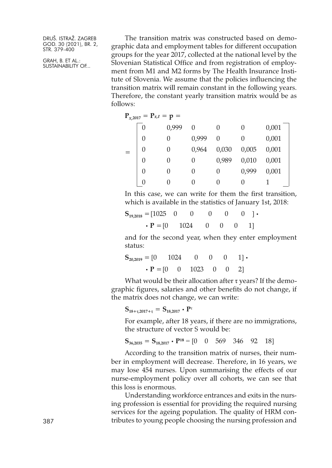GRAH, B. ET AL.: SUSTAINABILITY OF...

The transition matrix was constructed based on demographic data and employment tables for different occupation groups for the year 2017, collected at the national level by the Slovenian Statistical Office and from registration of employment from M1 and M2 forms by The Health Insurance Institute of Slovenia. We assume that the policies influencing the transition matrix will remain constant in the following years. Therefore, the constant yearly transition matrix would be as follows:

| $P_{x,2017} = P_{x,t} = p =$ |       |          |       |          |       |
|------------------------------|-------|----------|-------|----------|-------|
| U                            | 0,999 | 0        | 0     | 0        | 0,001 |
| 0                            | 0     | 0,999    | 0     | $\Omega$ | 0,001 |
| 0                            | 0     | 0,964    | 0,030 | 0,005    | 0,001 |
| 0                            | 0     | 0        | 0,989 | 0,010    | 0,001 |
| 0                            | 0     | 0        | 0     | 0.999    | 0,001 |
| $\bigcap$                    | 0     | $\theta$ | 0     | 0        |       |

In this case, we can write for them the first transition, which is available in the statistics of January 1st, 2018:

| $S_{19,2018} = [1025 \quad 0 \quad 0 \quad 0 \quad 0 \quad 0]$ |  |  |  |
|----------------------------------------------------------------|--|--|--|
| $\cdot$ <b>P</b> = [0 1024 0 0 0 1]                            |  |  |  |

and for the second year, when they enter employment status:

$$
\mathbf{S}_{20,2019} = \begin{bmatrix} 0 & 1024 & 0 & 0 & 0 & 1 \end{bmatrix} \cdot \mathbf{P} = \begin{bmatrix} 0 & 0 & 1023 & 0 & 0 & 2 \end{bmatrix}
$$

What would be their allocation after  $\tau$  years? If the demographic figures, salaries and other benefits do not change, if the matrix does not change, we can write:

**S**<sub>18+τ,2017+τ</sub> =  $S$ <sub>18,2017</sub> • **P**<sup>τ</sup>

For example, after 18 years, if there are no immigrations, the structure of vector S would be:

$$
\mathbf{S}_{36,2035} = \mathbf{S}_{18,2017} \cdot \mathbf{P}^{18} = \begin{bmatrix} 0 & 0 & 569 & 346 & 92 & 18 \end{bmatrix}
$$

According to the transition matrix of nurses, their number in employment will decrease. Therefore, in 16 years, we may lose 454 nurses. Upon summarising the effects of our nurse-employment policy over all cohorts, we can see that this loss is enormous.

Understanding workforce entrances and exits in the nursing profession is essential for providing the required nursing services for the ageing population. The quality of HRM contributes to young people choosing the nursing profession and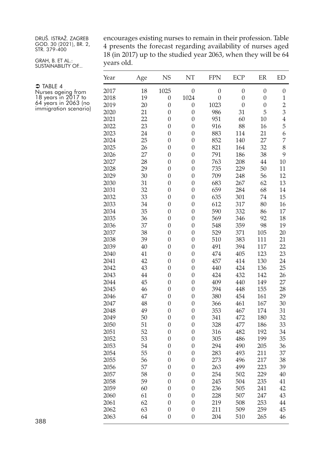GRAH, B. ET AL.: SUSTAINABILITY OF... encourages existing nurses to remain in their profession. Table presents the forecast regarding availability of nurses aged (in 2017) up to the studied year 2063, when they will be 64 years old.

| Year         | Age      | <b>NS</b>             | NT                                   | <b>FPN</b>       | ECP              | ER               | <b>ED</b>               |
|--------------|----------|-----------------------|--------------------------------------|------------------|------------------|------------------|-------------------------|
| 2017         | 18       | 1025                  | $\boldsymbol{0}$                     | $\boldsymbol{0}$ | $\boldsymbol{0}$ | $\boldsymbol{0}$ | $\boldsymbol{0}$        |
| 2018         | 19       | 0                     | 1024                                 | $\boldsymbol{0}$ | $\overline{0}$   | $\boldsymbol{0}$ | 1                       |
| 2019         | 20       | $\boldsymbol{0}$      | $\boldsymbol{0}$                     | 1023             | $\overline{0}$   | $\boldsymbol{0}$ | $\overline{c}$          |
| 2020         | 21       | $\boldsymbol{0}$      | $\boldsymbol{0}$                     | 986              | 31               | 5                | $\overline{\mathbf{3}}$ |
| 2021         | 22       | $\boldsymbol{0}$      | $\overline{0}$                       | 951              | 60               | 10               | $\overline{4}$          |
| 2022         | 23       | $\boldsymbol{0}$      | $\boldsymbol{0}$                     | 916              | 88               | 16               | 5                       |
| 2023         | 24       | $\boldsymbol{0}$      | $\boldsymbol{0}$                     | 883              | 114              | 21               | 6                       |
| 2024         | 25       | $\boldsymbol{0}$      | $\boldsymbol{0}$                     | 852              | 140              | 27               | $\overline{7}$          |
| 2025         | 26       | $\boldsymbol{0}$      | $\boldsymbol{0}$                     | 821              | 164              | 32               | 8                       |
| 2026         | 27       | $\boldsymbol{0}$      | $\boldsymbol{0}$                     | 791              | 186              | 38               | 9                       |
| 2027         | 28       | $\boldsymbol{0}$      | $\boldsymbol{0}$                     | 763              | 208              | 44               | 10                      |
| 2028         | 29       | $\boldsymbol{0}$      | $\boldsymbol{0}$                     | 735              | 229              | 50               | 11                      |
| 2029         | 30       | $\boldsymbol{0}$      | $\boldsymbol{0}$                     | 709              | 248              | 56               | 12                      |
| 2030         | 31       | 0                     | $\boldsymbol{0}$                     | 683              | 267              | 62               | 13                      |
| 2031         | 32       | $\boldsymbol{0}$      | $\boldsymbol{0}$                     | 659              | 284              | 68               | 14                      |
| 2032         | 33       | $\boldsymbol{0}$      | $\boldsymbol{0}$                     | 635              | 301              | 74               | 15                      |
| 2033         | 34       | $\boldsymbol{0}$      | $\boldsymbol{0}$                     | 612              | 317              | 80               | 16                      |
| 2034         | 35       | 0                     | $\boldsymbol{0}$                     | 590              | 332              | 86               | 17                      |
| 2035         | 36       | 0                     | $\boldsymbol{0}$                     | 569              | 346              | 92               | 18                      |
| 2036         | 37       | 0                     | $\boldsymbol{0}$                     | 548              | 359              | 98               | 19                      |
| 2037         | 38       | $\boldsymbol{0}$      | $\boldsymbol{0}$                     | 529              | 371              | 105              | 20                      |
| 2038<br>2039 | 39<br>40 | $\boldsymbol{0}$      | $\boldsymbol{0}$<br>$\boldsymbol{0}$ | 510<br>491       | 383<br>394       | 111              | 21<br>22                |
| 2040         | 41       | 0<br>$\boldsymbol{0}$ | $\boldsymbol{0}$                     | 474              | 405              | 117<br>123       | 23                      |
| 2041         | 42       | $\boldsymbol{0}$      | $\boldsymbol{0}$                     | 457              | 414              | 130              | 24                      |
| 2042         | 43       | $\boldsymbol{0}$      | $\boldsymbol{0}$                     | 440              | 424              | 136              | 25                      |
| 2043         | 44       | $\boldsymbol{0}$      | $\boldsymbol{0}$                     | 424              | 432              | 142              | 26                      |
| 2044         | 45       | $\boldsymbol{0}$      | $\boldsymbol{0}$                     | 409              | 440              | 149              | 27                      |
| 2045         | 46       | $\boldsymbol{0}$      | $\boldsymbol{0}$                     | 394              | 448              | 155              | 28                      |
| 2046         | 47       | $\boldsymbol{0}$      | $\boldsymbol{0}$                     | 380              | 454              | 161              | 29                      |
| 2047         | 48       | $\boldsymbol{0}$      | $\boldsymbol{0}$                     | 366              | 461              | 167              | 30                      |
| 2048         | 49       | $\boldsymbol{0}$      | $\boldsymbol{0}$                     | 353              | 467              | 174              | 31                      |
| 2049         | 50       | $\boldsymbol{0}$      | $\boldsymbol{0}$                     | 341              | 472              | 180              | 32                      |
| 2050         | 51       | $\boldsymbol{0}$      | $\boldsymbol{0}$                     | 328              | 477              | 186              | 33                      |
| 2051         | 52       | $\boldsymbol{0}$      | $\boldsymbol{0}$                     | 316              | 482              | 192              | 34                      |
| 2052         | 53       | $\boldsymbol{0}$      | $\boldsymbol{0}$                     | 305              | 486              | 199              | 35                      |
| 2053         | 54       | $\boldsymbol{0}$      | $\boldsymbol{0}$                     | 294              | 490              | 205              | 36                      |
| 2054         | 55       | $\boldsymbol{0}$      | $\boldsymbol{0}$                     | 283              | 493              | 211              | 37                      |
| 2055         | 56       | 0                     | $\boldsymbol{0}$                     | 273              | 496              | 217              | 38                      |
| 2056         | 57       | $\boldsymbol{0}$      | $\overline{0}$                       | 263              | 499              | 223              | 39                      |
| 2057         | 58       | 0                     | $\boldsymbol{0}$                     | 254              | 502              | 229              | $40\,$                  |
| 2058         | 59       | $\boldsymbol{0}$      | $\boldsymbol{0}$                     | 245              | 504              | 235              | 41                      |
| 2059         | 60       | 0                     | $\boldsymbol{0}$                     | 236              | 505              | 241              | 42                      |
| 2060         | 61       | $\boldsymbol{0}$      | $\boldsymbol{0}$                     | 228              | 507              | 247              | 43                      |
| 2061         | 62       | 0                     | $\boldsymbol{0}$                     | 219              | 508              | 253              | 44                      |
| 2062         | 63       | 0                     | $\boldsymbol{0}$                     | 211              | 509              | 259              | 45                      |
| 2063         | 64       | $\boldsymbol{0}$      | $\boldsymbol{0}$                     | 204              | 510              | 265              | 46                      |

 $\supset$  TABLE 4 Nurses ageing from years in <sup>2017</sup> to <sup>64</sup> years in <sup>2063</sup> (no immigration scenario)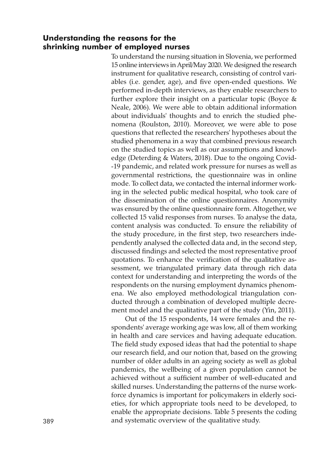# **Understanding the reasons for the shrinking number of employed nurses**

To understand the nursing situation in Slovenia, we performed 15 online interviews inApril/May 2020. We designed the research instrument for qualitative research, consisting of control variables (i.e. gender, age), and five open-ended questions. We performed in-depth interviews, as they enable researchers to further explore their insight on a particular topic (Boyce & Neale, 2006). We were able to obtain additional information about individuals' thoughts and to enrich the studied phenomena (Roulston, 2010). Moreover, we were able to pose questions that reflected the researchers' hypotheses about the studied phenomena in a way that combined previous research on the studied topics as well as our assumptions and knowledge (Deterding & Waters, 2018). Due to the ongoing Covid- -19 pandemic, and related work pressure for nurses as well as governmental restrictions, the questionnaire was in online mode. To collect data, we contacted the internal informer working in the selected public medical hospital, who took care of the dissemination of the online questionnaires. Anonymity was ensured by the online questionnaire form. Altogether, we collected 15 valid responses from nurses. To analyse the data, content analysis was conducted. To ensure the reliability of the study procedure, in the first step, two researchers independently analysed the collected data and, in the second step, discussed findings and selected the most representative proof quotations. To enhance the verification of the qualitative assessment, we triangulated primary data through rich data context for understanding and interpreting the words of the respondents on the nursing employment dynamics phenomena. We also employed methodological triangulation conducted through a combination of developed multiple decrement model and the qualitative part of the study (Yin, 2011).

Out of the 15 respondents, 14 were females and the respondents' average working age was low, all of them working in health and care services and having adequate education. The field study exposed ideas that had the potential to shape our research field, and our notion that, based on the growing number of older adults in an ageing society as well as global pandemics, the wellbeing of a given population cannot be achieved without a sufficient number of well-educated and skilled nurses. Understanding the patterns of the nurse workforce dynamics is important for policymakers in elderly societies, for which appropriate tools need to be developed, to enable the appropriate decisions. Table 5 presents the coding 389 and systematic overview of the qualitative study.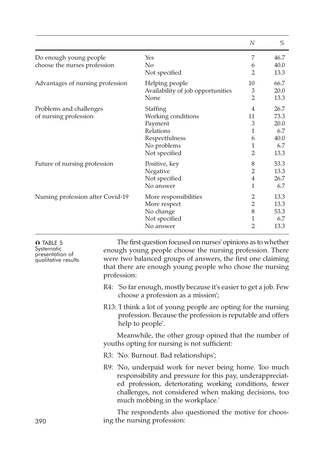|                                                        |                                                                                                          | N                                | %                                                  |
|--------------------------------------------------------|----------------------------------------------------------------------------------------------------------|----------------------------------|----------------------------------------------------|
| Do enough young people<br>choose the nurses profession | Yes<br>No<br>Not specified                                                                               | 7<br>6<br>2                      | 46.7<br>40.0<br>13.3                               |
| Advantages of nursing profession                       | Helping people                                                                                           | 10                               | 66.7                                               |
|                                                        | Availability of job opportunities                                                                        | 3                                | 20.0                                               |
|                                                        | None                                                                                                     | $\overline{2}$                   | 13.3                                               |
| Problems and challenges<br>of nursing profession       | Staffing<br>Working conditions<br>Payment<br>Relations<br>Respectfulness<br>No problems<br>Not specified | 4<br>11<br>3<br>1<br>6<br>1<br>2 | 26.7<br>73.3<br>20.0<br>6.7<br>40.0<br>6.7<br>13.3 |
| Future of nursing profession                           | Positive, key                                                                                            | 8                                | 53.3                                               |
|                                                        | Negative                                                                                                 | 2                                | 13.3                                               |
|                                                        | Not specified                                                                                            | $\overline{4}$                   | 26.7                                               |
|                                                        | No answer                                                                                                | 1                                | 6.7                                                |
| Nursing profession after Covid-19                      | More responsibilities                                                                                    | 2                                | 13.3                                               |
|                                                        | More respect                                                                                             | $\overline{2}$                   | 13.3                                               |
|                                                        | No change                                                                                                | 8                                | 53.3                                               |
|                                                        | Not specified                                                                                            | 1                                | 6.7                                                |
|                                                        | No answer                                                                                                | $\overline{2}$                   | 13.3                                               |

| <b>O</b> TABLE 5<br>Systematic<br>presentation of<br>qualitative results | The first question focused on nurses' opinions as to whether<br>enough young people choose the nursing profession. There<br>were two balanced groups of answers, the first one claiming<br>that there are enough young people who chose the nursing<br>profession:        |
|--------------------------------------------------------------------------|---------------------------------------------------------------------------------------------------------------------------------------------------------------------------------------------------------------------------------------------------------------------------|
|                                                                          | R4: 'So far enough, mostly because it's easier to get a job. Few<br>choose a profession as a mission';                                                                                                                                                                    |
|                                                                          | R13: I think a lot of young people are opting for the nursing<br>profession. Because the profession is reputable and offers<br>help to people'.                                                                                                                           |
|                                                                          | Meanwhile, the other group opined that the number of<br>youths opting for nursing is not sufficient:                                                                                                                                                                      |
|                                                                          | R3: 'No. Burnout. Bad relationships';                                                                                                                                                                                                                                     |
|                                                                          | R9: 'No, underpaid work for never being home. Too much<br>responsibility and pressure for this pay, underappreciat-<br>ed profession, deteriorating working conditions, fewer<br>challenges, not considered when making decisions, too<br>much mobbing in the workplace.' |
| 390                                                                      | The respondents also questioned the motive for choos-<br>ing the nursing profession:                                                                                                                                                                                      |
|                                                                          |                                                                                                                                                                                                                                                                           |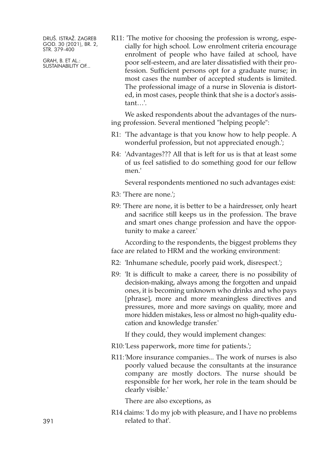GRAH, B. ET AL.: SUSTAINABILITY OF... R11: 'The motive for choosing the profession is wrong, especially for high school. Low enrolment criteria encourage enrolment of people who have failed at school, have poor self-esteem, and are later dissatisfied with their profession. Sufficient persons opt for a graduate nurse; in most cases the number of accepted students is limited. The professional image of a nurse in Slovenia is distorted, in most cases, people think that she is a doctor's assistant…'.

We asked respondents about the advantages of the nursing profession. Several mentioned "helping people":

- R1: 'The advantage is that you know how to help people. A wonderful profession, but not appreciated enough.';
- R4: 'Advantages??? All that is left for us is that at least some of us feel satisfied to do something good for our fellow men.'

Several respondents mentioned no such advantages exist:

- R3: 'There are none.';
- R9: 'There are none, it is better to be a hairdresser, only heart and sacrifice still keeps us in the profession. The brave and smart ones change profession and have the opportunity to make a career.'

According to the respondents, the biggest problems they face are related to HRM and the working environment:

- R2: 'Inhumane schedule, poorly paid work, disrespect.';
- R9: 'It is difficult to make a career, there is no possibility of decision-making, always among the forgotten and unpaid ones, it is becoming unknown who drinks and who pays [phrase], more and more meaningless directives and pressures, more and more savings on quality, more and more hidden mistakes, less or almost no high-quality education and knowledge transfer.'

If they could, they would implement changes:

- R10:'Less paperwork, more time for patients.';
- R11:'More insurance companies... The work of nurses is also poorly valued because the consultants at the insurance company are mostly doctors. The nurse should be responsible for her work, her role in the team should be clearly visible.'

There are also exceptions, as

R14 claims: 'I do my job with pleasure, and I have no problems related to that'.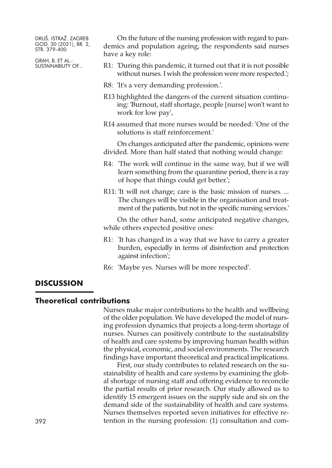GRAH, B. ET AL.: SUSTAINABILITY OF...

On the future of the nursing profession with regard to pandemics and population ageing, the respondents said nurses have a key role:

- R1: 'During this pandemic, it turned out that it is not possible without nurses. I wish the profession were more respected.';
- R8: 'It's a very demanding profession.'.
- R13 highlighted the dangers of the current situation continuing: 'Burnout, staff shortage, people [nurse] won't want to work for low pay',
- R14 assumed that more nurses would be needed: 'One of the solutions is staff reinforcement.'

On changes anticipated after the pandemic, opinions were divided. More than half stated that nothing would change:

- R4: 'The work will continue in the same way, but if we will learn something from the quarantine period, there is a ray of hope that things could get better.';
- R11: 'It will not change; care is the basic mission of nurses. ... The changes will be visible in the organisation and treatment of the patients, but not in the specific nursing services.'

On the other hand, some anticipated negative changes, while others expected positive ones:

- R1: 'It has changed in a way that we have to carry a greater burden, especially in terms of disinfection and protection against infection';
- R6: 'Maybe yes. Nurses will be more respected'.

# **DISCUSSION**

#### **Theoretical contributions**

Nurses make major contributions to the health and wellbeing of the older population. We have developed the model of nursing profession dynamics that projects a long-term shortage of nurses. Nurses can positively contribute to the sustainability of health and care systems by improving human health within the physical, economic, and social environments. The research findings have important theoretical and practical implications.

First, our study contributes to related research on the sustainability of health and care systems by examining the global shortage of nursing staff and offering evidence to reconcile the partial results of prior research. Our study allowed us to identify 15 emergent issues on the supply side and six on the demand side of the sustainability of health and care systems. Nurses themselves reported seven initiatives for effective re-392 tention in the nursing profession: (1) consultation and com-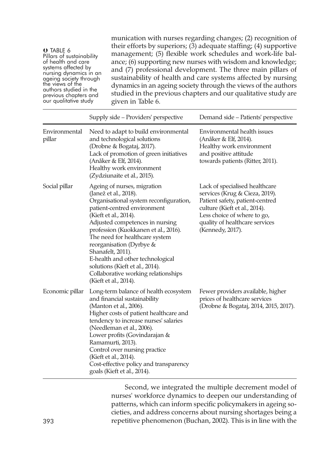**O** TABLE 6<br>Pillars of sustainability of health and care<br>systems affected by<br>nursing dynamics in an<br>ageing society through<br>the views of the authors studied in the<br>previous chapters and<br>our qualitative study

munication with nurses regarding changes; (2) recognition of their efforts by superiors; (3) adequate staffing; (4) supportive management; (5) flexible work schedules and work-life balance; (6) supporting new nurses with wisdom and knowledge; and (7) professional development. The three main pillars of sustainability of health and care systems affected by nursing dynamics in an ageing society through the views of the authors studied in the previous chapters and our qualitative study are given in Table 6.

|                         | Supply side - Providers' perspective                                                                                                                                                                                                                                                                                                                                                                                                                        | Demand side - Patients' perspective                                                                                                                                                                                       |
|-------------------------|-------------------------------------------------------------------------------------------------------------------------------------------------------------------------------------------------------------------------------------------------------------------------------------------------------------------------------------------------------------------------------------------------------------------------------------------------------------|---------------------------------------------------------------------------------------------------------------------------------------------------------------------------------------------------------------------------|
| Environmental<br>pillar | Need to adapt to build environmental<br>and technological solutions<br>(Drobne & Bogataj, 2017).<br>Lack of promotion of green initiatives<br>(Anåker & Elf, 2014).<br>Healthy work environment<br>(Zydziunaite et al., 2015).                                                                                                                                                                                                                              | Environmental health issues<br>(Anåker & Elf, 2014).<br>Healthy work environment<br>and positive attitude<br>towards patients (Ritter, 2011).                                                                             |
| Social pillar           | Ageing of nurses, migration<br>(Janež et al., 2018).<br>Organisational system reconfiguration,<br>patient-centred environment<br>(Kieft et al., 2014).<br>Adjusted competences in nursing<br>profession (Kuokkanen et al., 2016).<br>The need for healthcare system<br>reorganisation (Dyrbye &<br>Shanafelt, 2011).<br>E-health and other technological<br>solutions (Kieft et al., 2014).<br>Collaborative working relationships<br>(Kieft et al., 2014). | Lack of specialised healthcare<br>services (Krug & Cieza, 2019).<br>Patient safety, patient-centred<br>culture (Kieft et al., 2014).<br>Less choice of where to go,<br>quality of healthcare services<br>(Kennedy, 2017). |
| Economic pillar         | Long-term balance of health ecosystem<br>and financial sustainability<br>(Manton et al., 2006).<br>Higher costs of patient healthcare and<br>tendency to increase nurses' salaries<br>(Needleman et al., 2006).<br>Lower profits (Govindarajan &<br>Ramamurti, 2013).<br>Control over nursing practice<br>(Kieft et al., 2014).<br>Cost-effective policy and transparency<br>goals (Kieft et al., 2014).                                                    | Fewer providers available, higher<br>prices of healthcare services<br>(Drobne & Bogataj, 2014, 2015, 2017).                                                                                                               |

Second, we integrated the multiple decrement model of nurses' workforce dynamics to deepen our understanding of patterns, which can inform specific policymakers in ageing societies, and address concerns about nursing shortages being a 393 repetitive phenomenon (Buchan, 2002). This is in line with the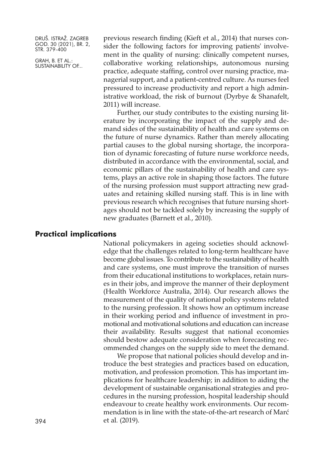GRAH, B. ET AL.: SUSTAINABILITY OF... previous research finding (Kieft et al., 2014) that nurses consider the following factors for improving patients' involvement in the quality of nursing: clinically competent nurses, collaborative working relationships, autonomous nursing practice, adequate staffing, control over nursing practice, managerial support, and a patient-centred culture. As nurses feel pressured to increase productivity and report a high administrative workload, the risk of burnout (Dyrbye & Shanafelt, 2011) will increase.

Further, our study contributes to the existing nursing literature by incorporating the impact of the supply and demand sides of the sustainability of health and care systems on the future of nurse dynamics. Rather than merely allocating partial causes to the global nursing shortage, the incorporation of dynamic forecasting of future nurse workforce needs, distributed in accordance with the environmental, social, and economic pillars of the sustainability of health and care systems, plays an active role in shaping those factors. The future of the nursing profession must support attracting new graduates and retaining skilled nursing staff. This is in line with previous research which recognises that future nursing shortages should not be tackled solely by increasing the supply of new graduates (Barnett et al., 2010).

# **Practical implications**

National policymakers in ageing societies should acknowledge that the challenges related to long-term healthcare have become global issues. To contribute to the sustainability of health and care systems, one must improve the transition of nurses from their educational institutions to workplaces, retain nurses in their jobs, and improve the manner of their deployment (Health Workforce Australia, 2014). Our research allows the measurement of the quality of national policy systems related to the nursing profession. It shows how an optimum increase in their working period and influence of investment in promotional and motivational solutions and education can increase their availability. Results suggest that national economies should bestow adequate consideration when forecasting recommended changes on the supply side to meet the demand.

We propose that national policies should develop and introduce the best strategies and practices based on education, motivation, and profession promotion. This has important implications for healthcare leadership; in addition to aiding the development of sustainable organisational strategies and procedures in the nursing profession, hospital leadership should endeavour to create healthy work environments. Our recommendation is in line with the state-of-the-art research of Marć 394 et al. (2019).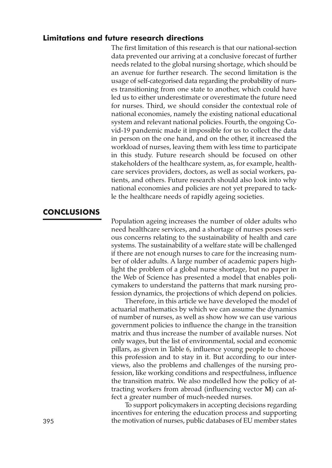# **Limitations and future research directions**

The first limitation of this research is that our national-section data prevented our arriving at a conclusive forecast of further needs related to the global nursing shortage, which should be an avenue for further research. The second limitation is the usage of self-categorised data regarding the probability of nurses transitioning from one state to another, which could have led us to either underestimate or overestimate the future need for nurses. Third, we should consider the contextual role of national economies, namely the existing national educational system and relevant national policies. Fourth, the ongoing Covid-19 pandemic made it impossible for us to collect the data in person on the one hand, and on the other, it increased the workload of nurses, leaving them with less time to participate in this study. Future research should be focused on other stakeholders of the healthcare system, as, for example, healthcare services providers, doctors, as well as social workers, patients, and others. Future research should also look into why national economies and policies are not yet prepared to tackle the healthcare needs of rapidly ageing societies.

# **CONCLUSIONS**

Population ageing increases the number of older adults who need healthcare services, and a shortage of nurses poses serious concerns relating to the sustainability of health and care systems. The sustainability of a welfare state will be challenged if there are not enough nurses to care for the increasing number of older adults. A large number of academic papers highlight the problem of a global nurse shortage, but no paper in the Web of Science has presented a model that enables policymakers to understand the patterns that mark nursing profession dynamics, the projections of which depend on policies.

Therefore, in this article we have developed the model of actuarial mathematics by which we can assume the dynamics of number of nurses, as well as show how we can use various government policies to influence the change in the transition matrix and thus increase the number of available nurses. Not only wages, but the list of environmental, social and economic pillars, as given in Table 6, influence young people to choose this profession and to stay in it. But according to our interviews, also the problems and challenges of the nursing profession, like working conditions and respectfulness, influence the transition matrix. We also modelled how the policy of attracting workers from abroad (influencing vector **M**) can affect a greater number of much-needed nurses.

To support policymakers in accepting decisions regarding incentives for entering the education process and supporting 395 the motivation of nurses, public databases of EU member states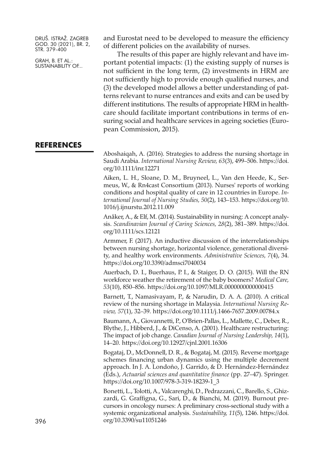GRAH, B. ET AL.: SUSTAINABILITY OF... and Eurostat need to be developed to measure the efficiency of different policies on the availability of nurses.

The results of this paper are highly relevant and have important potential impacts: (1) the existing supply of nurses is not sufficient in the long term, (2) investments in HRM are not sufficiently high to provide enough qualified nurses, and (3) the developed model allows a better understanding of patterns relevant to nurse entrances and exits and can be used by different institutions. The results of appropriate HRM in healthcare should facilitate important contributions in terms of ensuring social and healthcare services in ageing societies (European Commission, 2015).

#### **REFERENCES**

Aboshaiqah, A. (2016). Strategies to address the nursing shortage in Saudi Arabia. *International Nursing Review, 63*(3), 499–506. [https://doi.](https://doi.org/10.1111/inr.12271) [org/10.1111/inr.12271](https://doi.org/10.1111/inr.12271)

Aiken, L. H., Sloane, D. M., Bruyneel, L., Van den Heede, K., Sermeus, W., & Rn4cast Consortium (2013). Nurses' reports of working conditions and hospital quality of care in 12 countries in Europe. *International Journal of Nursing Studies, 50*(2), 143–153. [https://doi.org/10.](https://doi.org/10.1016/j.ijnurstu.2012.11.009) [1016/j.ijnurstu.2012.11.009](https://doi.org/10.1016/j.ijnurstu.2012.11.009)

Anåker, A., & Elf, M. (2014). Sustainability in nursing: A concept analysis. *Scandinavian Journal of Caring Sciences, 28*(2), 381–389. [https://doi.](https://doi.org/10.1111/scs.12121) [org/10.1111/scs.12121](https://doi.org/10.1111/scs.12121)

Armmer, F. (2017). An inductive discussion of the interrelationships between nursing shortage, horizontal violence, generational diversity, and healthy work environments. *Administrative Sciences, 7*(4), 34. <https://doi.org/10.3390/admsci7040034>

Auerbach, D. I., Buerhaus, P. I., & Staiger, D. O. (2015). Will the RN workforce weather the retirement of the baby boomers? *Medical Care, 53*(10), 850–856. <https://doi.org/10.1097/MLR.0000000000000415>

Barnett, T., Namasivayam, P., & Narudin, D. A. A. (2010). A critical review of the nursing shortage in Malaysia. *International Nursing Review, 57*(1), 32–39. <https://doi.org/10.1111/j.1466-7657.2009.00784.x>

Baumann, A., Giovannetti, P., O'Brien-Pallas, L., Mallette, C., Deber, R., Blythe, J., Hibberd, J., & DiCenso, A. (2001). Healthcare restructuring: The impact of job change. *Canadian Journal of Nursing Leadership, 14*(1), 14–20. <https://doi.org/10.12927/cjnl.2001.16306>

Bogataj, D., McDonnell, D. R., & Bogataj, M. (2015). Reverse mortgage schemes financing urban dynamics using the multiple decrement approach. In J. A. Londoño, J. Garrido, & D. Hernández‐Hernández (Eds.), *Actuarial sciences and quantitative finance* (pp. 27–47). Springer. [https://doi.org/10.1007/978-3-319-18239-1\\_3](https://doi.org/10.1007/978-3-319-18239-1_3)

Bonetti, L., Tolotti, A., Valcarenghi, D., Pedrazzani, C., Barello, S., Ghizzardi, G. Graffigna, G., Sari, D., & Bianchi, M. (2019). Burnout precursors in oncology nurses: A preliminary cross-sectional study with a systemic organizational analysis. *Sustainability, 11*(5), 1246. [https://doi.](https://doi.org/10.3390/su11051246) 396 [org/10.3390/su11051246](https://doi.org/10.3390/su11051246)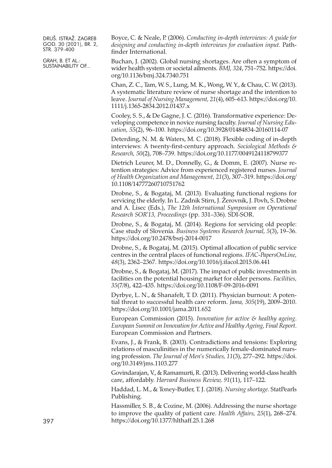GRAH, B. ET AL.: SUSTAINABILITY OF... Boyce, C. & Neale, P. (2006). *Conducting in-depth interviews: A guide for designing and conducting in-depth interviews for evaluation input.* Pathfinder International.

Buchan, J. (2002). Global nursing shortages. Are often a symptom of wider health system or societal ailments. *BMJ, 324*, 751–752. [https://doi.](https://doi.org/10.1136/bmj.324.7340.751) [org/10.1136/bmj.324.7340.751](https://doi.org/10.1136/bmj.324.7340.751)

Chan, Z. C., Tam, W. S., Lung, M. K., Wong, W. Y., & Chau, C. W. (2013). A systematic literature review of nurse shortage and the intention to leave. *Journal of Nursing Management, 21*(4), 605–613. [https://doi.org/10.](https://doi.org/10.1111/j.1365-2834.2012.01437.x) [1111/j.1365-2834.2012.01437.x](https://doi.org/10.1111/j.1365-2834.2012.01437.x)

Cooley, S. S., & De Gagne, J. C. (2016). Transformative experience: Developing competence in novice nursing faculty. *Journal of Nursing Education, 55*(2), 96–100. <https://doi.org/10.3928/01484834-20160114-07>

Deterding, N. M. & Waters, M. C. (2018). Flexible coding of in-depth interviews: A twenty-first-century approach. *Sociological Methods & Research, 50*(2), 708–739. <https://doi.org/10.1177/0049124118799377>

Dietrich Leurer, M. D., Donnelly, G., & Domm, E. (2007). Nurse retention strategies: Advice from experienced registered nurses. *Journal of Health Organization and Management, 21*(3), 307–319. [https://doi.org/](https://doi.org/10.1108/14777260710751762) [10.1108/14777260710751762](https://doi.org/10.1108/14777260710751762)

Drobne, S., & Bogataj, M. (2013). Evaluating functional regions for servicing the elderly. In L. Zadnik Stirn, J. Žerovnik, J. Povh, S. Drobne and A. Lisec (Eds.), *The 12th International Symposium on Operational Research SOR'13, Proceedings* (pp. 331–336). SDI-SOR.

Drobne, S., & Bogataj, M. (2014). Regions for servicing old people: Case study of Slovenia. *Business Systems Research Journal, 5*(3), 19–36. <https://doi.org/10.2478/bsrj-2014-0017>

Drobne, S., & Bogataj, M. (2015). Optimal allocation of public service centres in the central places of functional regions. *IFAC-PapersOnLine, 48*(3), 2362–2367. <https://doi.org/10.1016/j.ifacol.2015.06.441>

Drobne, S., & Bogataj, M. (2017). The impact of public investments in facilities on the potential housing market for older persons. *Facilities, 35*(7/8), 422–435. <https://doi.org/10.1108/F-09-2016-0091>

Dyrbye, L. N., & Shanafelt, T. D. (2011). Physician burnout: A potential threat to successful health care reform. *Jama, 305*(19), 2009–2010. <https://doi.org/10.1001/jama.2011.652>

European Commission (2015). *Innovation for active & healthy ageing*. *European Summit on Innovation for Active and Healthy Ageing, Final Report*. European Commission and Partners.

Evans, J., & Frank, B. (2003). Contradictions and tensions: Exploring relations of masculinities in the numerically female-dominated nursing profession. *The Journal of Men's Studies, 11*(3), 277–292. [https://doi.](https://doi.org/10.3149/jms.1103.277) [org/10.3149/jms.1103.277](https://doi.org/10.3149/jms.1103.277)

Govindarajan, V., & Ramamurti, R. (2013). Delivering world-class health care, affordably. *Harvard Business Review, 91*(11), 117–122.

Haddad, L. M., & Toney-Butler, T. J. (2018). *Nursing shortage*. StatPearls Publishing.

Hassmiller, S. B., & Cozine, M. (2006). Addressing the nurse shortage to improve the quality of patient care. *Health Affairs, 25*(1), 268–274. <https://doi.org/10.1377/hlthaff.25.1.268>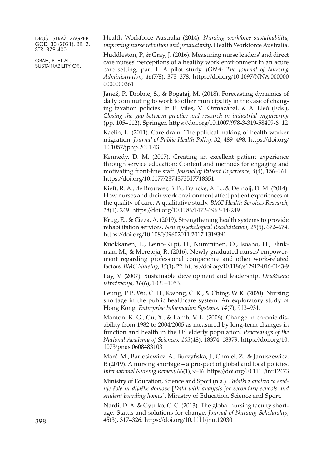GRAH, B. ET AL.: SUSTAINABILITY OF... Health Workforce Australia (2014). *Nursing workforce sustainability, improving nurse retention and productivity*. Health Workforce Australia.

Huddleston, P., & Gray, J. (2016). Measuring nurse leaders' and direct care nurses' perceptions of a healthy work environment in an acute care setting, part 1: A pilot study. *JONA: The Journal of Nursing Administration, 46*(7/8), 373–378. [https://doi.org/10.1097/NNA.000000](https://doi.org/10.1097/NNA.0000000000000361) [0000000361](https://doi.org/10.1097/NNA.0000000000000361)

Janež, P., Drobne, S., & Bogataj, M. (2018). Forecasting dynamics of daily commuting to work to other municipality in the case of changing taxation policies. In E. Viles, M. Ormazábal, & A. Lleó (Eds.), *Closing the gap between practice and research in industrial engineering* (pp. 105–112). Springer. [https://doi.org/10.1007/978-3-319-58409-6\\_12](https://doi.org/10.1007/978-3-319-58409-6_12)

Kaelin, L. (2011). Care drain: The political making of health worker migration. *Journal of Public Health Policy, 32*, 489–498. [https://doi.org/](https://doi.org/10.1057/jphp.2011.43) [10.1057/jphp.2011.43](https://doi.org/10.1057/jphp.2011.43)

Kennedy, D. M. (2017). Creating an excellent patient experience through service education: Content and methods for engaging and motivating front-line staff. *Journal of Patient Experience, 4*(4), 156–161. <https://doi.org/10.1177/2374373517718351>

Kieft, R. A., de Brouwer, B. B., Francke, A. L., & Delnoij, D. M. (2014). How nurses and their work environment affect patient experiences of the quality of care: A qualitative study. *BMC Health Services Research, 14*(1), 249. <https://doi.org/10.1186/1472-6963-14-249>

Krug, E., & Cieza, A. (2019). Strengthening health systems to provide rehabilitation services. *Neuropsychological Rehabilitation, 29*(5), 672–674. <https://doi.org/10.1080/09602011.2017.1319391>

Kuokkanen, L., Leino-Kilpi, H., Numminen, O., Isoaho, H., Flinkman, M., & Meretoja, R. (2016). Newly graduated nurses' empowerment regarding professional competence and other work-related factors. *BMC Nursing, 15*(1), 22. <https://doi.org/10.1186/s12912-016-0143-9>

Lay, V. (2007). Sustainable development and leadership. *Društvena istraživanja, 16*(6), 1031–1053.

Leung, P. P., Wu, C. H., Kwong, C. K., & Ching, W. K. (2020). Nursing shortage in the public healthcare system: An exploratory study of Hong Kong. *Enterprise Information Systems, 14*(7), 913–931.

Manton, K. G., Gu, X., & Lamb, V. L. (2006). Change in chronic disability from 1982 to 2004/2005 as measured by long-term changes in function and health in the US elderly population. *Proceedings of the National Academy of Sciences, 103*(48), 18374–18379. [https://doi.org/10.](https://doi.org/10.1073/pnas.0608483103) [1073/pnas.0608483103](https://doi.org/10.1073/pnas.0608483103)

Marć, M., Bartosiewicz, A., Burzyńska, J., Chmiel, Z., & Januszewicz, P. (2019). A nursing shortage – a prospect of global and local policies. *International Nursing Review, 66*(1), 9–16. <https://doi.org/10.1111/inr.12473>

Ministry of Education, Science and Sport (n.a.). *Podatki z analizo za srednje šole in dijaške domove* [*Data with analysis for secondary schools and student boarding homes*]. Ministry of Education, Science and Sport.

Nardi, D. A. & Gyurko, C. C. (2013). The global nursing faculty shortage: Status and solutions for change. *Journal of Nursing Scholarship,* 398 *45*(3), 317–326. <https://doi.org/10.1111/jnu.12030>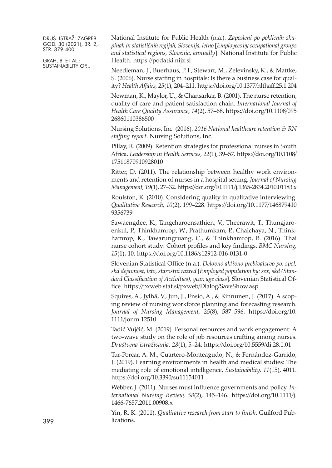GRAH, B. ET AL.: SUSTAINABILITY OF...

National Institute for Public Health (n.a.). *Zaposleni po poklicnih skupinah in statističnih regijah, Slovenija, letno* [*Employees by occupational groups and statistical regions, Slovenia, annually*]. National Institute for Public Health. <https://podatki.nijz.si>

Needleman, J., Buerhaus, P. I., Stewart, M., Zelevinsky, K., & Mattke, S. (2006). Nurse staffing in hospitals: Is there a business case for quality? *Health Affairs, 25*(1), 204–211. <https://doi.org/10.1377/hlthaff.25.1.204>

Newman, K., Maylor, U., & Chansarkar, B. (2001). The nurse retention, quality of care and patient satisfaction chain. *International Journal of Health Care Quality Assurance, 14*(2), 57–68. [https://doi.org/10.1108/095](https://doi.org/10.1108/09526860110386500) [26860110386500](https://doi.org/10.1108/09526860110386500)

Nursing Solutions, Inc. (2016). *2016 National healthcare retention & RN staffing report*. Nursing Solutions, Inc.

Pillay, R. (2009). Retention strategies for professional nurses in South Africa. *Leadership in Health Services, 22*(1), 39–57. [https://doi.org/10.1108/](https://doi.org/10.1108/17511870910928010) [17511870910928010](https://doi.org/10.1108/17511870910928010)

Ritter, D. (2011). The relationship between healthy work environments and retention of nurses in a hospital setting. *Journal of Nursing Management, 19*(1), 27–32. <https://doi.org/10.1111/j.1365-2834.2010.01183.x>

Roulston, K. (2010). Considering quality in qualitative interviewing. *Qualitative Research, 10*(2), 199–228. [https://doi.org/10.1177/146879410](https://doi.org/10.1177/1468794109356739) [9356739](https://doi.org/10.1177/1468794109356739)

Sawaengdee, K., Tangcharoensathien, V., Theerawit, T., Thungjaroenkul, P., Thinkhamrop, W., Prathumkam, P., Chaichaya, N., Thinkhamrop, K., Tawarungruang, C., & Thinkhamrop, B. (2016). Thai nurse cohort study: Cohort profiles and key findings. *BMC Nursing, 15*(1), 10. <https://doi.org/10.1186/s12912-016-0131-0>

Slovenian Statistical Office (n.a.). *Delovno aktivno prebivalstvo po: spol, skd dejavnost, leto, starostni razred* [*Employed population by: sex, skd (Standard Classification of Activities), year, age class*]. Slovenian Statistical Office. <https://pxweb.stat.si/pxweb/Dialog/SaveShow.asp>

Squires, A., Jylhä, V., Jun, J., Ensio, A., & Kinnunen, J. (2017). A scoping review of nursing workforce planning and forecasting research. *Journal of Nursing Management, 25*(8), 587–596. [https://doi.org/10.](https://doi.org/10.1111/jonm.12510) [1111/jonm.12510](https://doi.org/10.1111/jonm.12510)

Tadić Vujčić, M. (2019). Personal resources and work engagement: A two-wave study on the role of job resources crafting among nurses. *Društvena istraživanja, 28*(1), 5–24. <https://doi.org/10.5559/di.28.1.01>

Tur-Porcar, A. M., Cuartero-Monteagudo, N., & Fernández-Garrido, J. (2019). Learning environments in health and medical studies: The mediating role of emotional intelligence. *Sustainability, 11*(15), 4011. <https://doi.org/10.3390/su11154011>

Webber, J. (2011). Nurses must influence governments and policy. *International Nursing Review, 58*(2), 145–146. [https://doi.org/10.1111/j.](https://doi.org/10.1111/j.1466-7657.2011.00908.x) [1466-7657.2011.00908.x](https://doi.org/10.1111/j.1466-7657.2011.00908.x)

Yin, R. K. (2011). *Qualitative research from start to finish*. Guilford Publications.